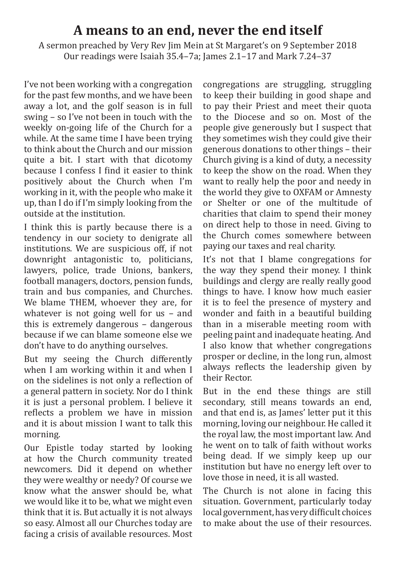## **A means to an end, never the end itself**

A sermon preached by Very Rev Jim Mein at St Margaret's on 9 September 2018 Our readings were Isaiah 35.4–7a; James 2.1–17 and Mark 7.24–37

I've not been working with a congregation for the past few months, and we have been away a lot, and the golf season is in full swing – so I've not been in touch with the weekly on-going life of the Church for a while. At the same time I have been trying to think about the Church and our mission quite a bit. I start with that dicotomy because I confess I find it easier to think positively about the Church when I'm working in it, with the people who make it up, than I do if I'm simply looking from the outside at the institution.

I think this is partly because there is a tendency in our society to denigrate all institutions. We are suspicious off, if not downright antagonistic to, politicians, lawyers, police, trade Unions, bankers, football managers, doctors, pension funds, train and bus companies, and Churches. We blame THEM, whoever they are, for whatever is not going well for us – and this is extremely dangerous – dangerous because if we can blame someone else we don't have to do anything ourselves.

But my seeing the Church differently when I am working within it and when I on the sidelines is not only a reflection of a general pattern in society. Nor do I think it is just a personal problem. I believe it reflects a problem we have in mission and it is about mission I want to talk this morning.

Our Epistle today started by looking at how the Church community treated newcomers. Did it depend on whether they were wealthy or needy? Of course we know what the answer should be, what we would like it to be, what we might even think that it is. But actually it is not always so easy. Almost all our Churches today are facing a crisis of available resources. Most

congregations are struggling, struggling to keep their building in good shape and to pay their Priest and meet their quota to the Diocese and so on. Most of the people give generously but I suspect that they sometimes wish they could give their generous donations to other things – their Church giving is a kind of duty, a necessity to keep the show on the road. When they want to really help the poor and needy in the world they give to OXFAM or Amnesty or Shelter or one of the multitude of charities that claim to spend their money on direct help to those in need. Giving to the Church comes somewhere between paying our taxes and real charity.

It's not that I blame congregations for the way they spend their money. I think buildings and clergy are really really good things to have. I know how much easier it is to feel the presence of mystery and wonder and faith in a beautiful building than in a miserable meeting room with peeling paint and inadequate heating. And I also know that whether congregations prosper or decline, in the long run, almost always reflects the leadership given by their Rector.

But in the end these things are still secondary, still means towards an end, and that end is, as James' letter put it this morning, loving our neighbour. He called it the royal law, the most important law. And he went on to talk of faith without works being dead. If we simply keep up our institution but have no energy left over to love those in need, it is all wasted.

The Church is not alone in facing this situation. Government, particularly today local government, has very difficult choices to make about the use of their resources.